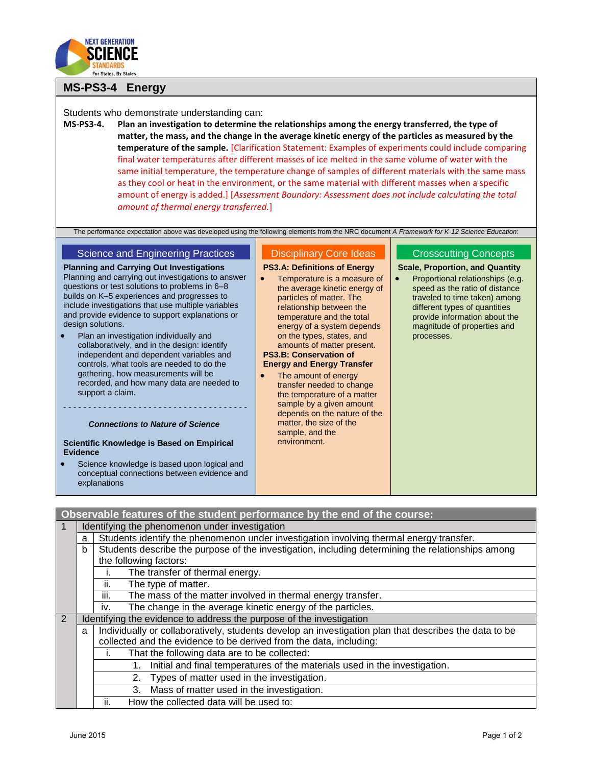

## **MS-PS3-4 Energy**

## Students who demonstrate understanding can:

**MS-PS3-4. Plan an investigation to determine the relationships among the energy transferred, the type of matter, the mass, and the change in the average kinetic energy of the particles as measured by the temperature of the sample.** [Clarification Statement: Examples of experiments could include comparing final water temperatures after different masses of ice melted in the same volume of water with the same initial temperature, the temperature change of samples of different materials with the same mass as they cool or heat in the environment, or the same material with different masses when a specific amount of energy is added.] [*Assessment Boundary: Assessment does not include calculating the total amount of thermal energy transferred.*]

The performance expectation above was developed using the following elements from the NRC document *A Framework for K-12 Science Education*:

### Science and Engineering Practices

**Planning and Carrying Out Investigations** Planning and carrying out investigations to answer questions or test solutions to problems in 6–8 builds on K–5 experiences and progresses to include investigations that use multiple variables and provide evidence to support explanations or design solutions.

 Plan an investigation individually and collaboratively, and in the design: identify independent and dependent variables and controls, what tools are needed to do the gathering, how measurements will be recorded, and how many data are needed to support a claim.

## - - - - - - - - - - - - - - - - - - - - - - - - - - - - - - - - - - - - - *Connections to Nature of Science*

#### **Scientific Knowledge is Based on Empirical Evidence**

 Science knowledge is based upon logical and conceptual connections between evidence and explanations

# Disciplinary Core Ideas

#### **PS3.A: Definitions of Energy**

- Temperature is a measure of the average kinetic energy of particles of matter. The relationship between the temperature and the total energy of a system depends on the types, states, and amounts of matter present. **PS3.B: Conservation of Energy and Energy Transfer**
	- The amount of energy transfer needed to change the temperature of a matter sample by a given amount depends on the nature of the matter, the size of the sample, and the environment.

### Crosscutting Concepts

**Scale, Proportion, and Quantit[y](http://www.nap.edu/openbook.php?record_id=13165&page=89)**

 [Proportional relationships \(e.g.](http://www.nap.edu/openbook.php?record_id=13165&page=89)  [speed as the ratio of distance](http://www.nap.edu/openbook.php?record_id=13165&page=89)  [traveled to time taken\) among](http://www.nap.edu/openbook.php?record_id=13165&page=89)  [different types of quantities](http://www.nap.edu/openbook.php?record_id=13165&page=89)  [provide information about the](http://www.nap.edu/openbook.php?record_id=13165&page=89)  [magnitude of properties and](http://www.nap.edu/openbook.php?record_id=13165&page=89)  [processes.](http://www.nap.edu/openbook.php?record_id=13165&page=89)

| Observable features of the student performance by the end of the course: |                                                                                                            |                                                                                                   |  |  |  |
|--------------------------------------------------------------------------|------------------------------------------------------------------------------------------------------------|---------------------------------------------------------------------------------------------------|--|--|--|
|                                                                          | Identifying the phenomenon under investigation                                                             |                                                                                                   |  |  |  |
|                                                                          | a                                                                                                          | Students identify the phenomenon under investigation involving thermal energy transfer.           |  |  |  |
|                                                                          | b                                                                                                          | Students describe the purpose of the investigation, including determining the relationships among |  |  |  |
|                                                                          |                                                                                                            | the following factors:                                                                            |  |  |  |
|                                                                          |                                                                                                            | The transfer of thermal energy.                                                                   |  |  |  |
|                                                                          |                                                                                                            | The type of matter.<br>Ш.                                                                         |  |  |  |
|                                                                          |                                                                                                            | iii.<br>The mass of the matter involved in thermal energy transfer.                               |  |  |  |
|                                                                          |                                                                                                            | The change in the average kinetic energy of the particles.<br>İV.                                 |  |  |  |
| 2                                                                        | Identifying the evidence to address the purpose of the investigation                                       |                                                                                                   |  |  |  |
|                                                                          | Individually or collaboratively, students develop an investigation plan that describes the data to be<br>a |                                                                                                   |  |  |  |
|                                                                          |                                                                                                            | collected and the evidence to be derived from the data, including:                                |  |  |  |
|                                                                          |                                                                                                            | That the following data are to be collected:                                                      |  |  |  |
|                                                                          |                                                                                                            | Initial and final temperatures of the materials used in the investigation.                        |  |  |  |
|                                                                          |                                                                                                            | Types of matter used in the investigation.<br>2.                                                  |  |  |  |
|                                                                          |                                                                                                            | 3. Mass of matter used in the investigation.                                                      |  |  |  |
|                                                                          |                                                                                                            | ii.<br>How the collected data will be used to:                                                    |  |  |  |